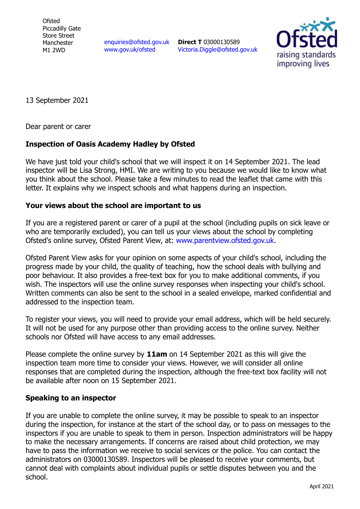**Ofsted** Piccadilly Gate Store Street Manchester M1 2WD

enquiries@ofsted.gov.uk www.gov.uk/ofsted

**Direct T** 03000130589 Victoria.Diggle@ofsted.gov.uk



13 September 2021

Dear parent or carer

## **Inspection of Oasis Academy Hadley by Ofsted**

We have just told your child's school that we will inspect it on 14 September 2021. The lead inspector will be Lisa Strong, HMI. We are writing to you because we would like to know what you think about the school. Please take a few minutes to read the leaflet that came with this letter. It explains why we inspect schools and what happens during an inspection.

## **Your views about the school are important to us**

If you are a registered parent or carer of a pupil at the school (including pupils on sick leave or who are temporarily excluded), you can tell us your views about the school by completing Ofsted's online survey, Ofsted Parent View, at: www.parentview.ofsted.gov.uk.

Ofsted Parent View asks for your opinion on some aspects of your child's school, including the progress made by your child, the quality of teaching, how the school deals with bullying and poor behaviour. It also provides a free-text box for you to make additional comments, if you wish. The inspectors will use the online survey responses when inspecting your child's school. Written comments can also be sent to the school in a sealed envelope, marked confidential and addressed to the inspection team.

To register your views, you will need to provide your email address, which will be held securely. It will not be used for any purpose other than providing access to the online survey. Neither schools nor Ofsted will have access to any email addresses.

Please complete the online survey by **11am** on 14 September 2021 as this will give the inspection team more time to consider your views. However, we will consider all online responses that are completed during the inspection, although the free-text box facility will not be available after noon on 15 September 2021.

## **Speaking to an inspector**

If you are unable to complete the online survey, it may be possible to speak to an inspector during the inspection, for instance at the start of the school day, or to pass on messages to the inspectors if you are unable to speak to them in person. Inspection administrators will be happy to make the necessary arrangements. If concerns are raised about child protection, we may have to pass the information we receive to social services or the police. You can contact the administrators on 03000130589. Inspectors will be pleased to receive your comments, but cannot deal with complaints about individual pupils or settle disputes between you and the school.